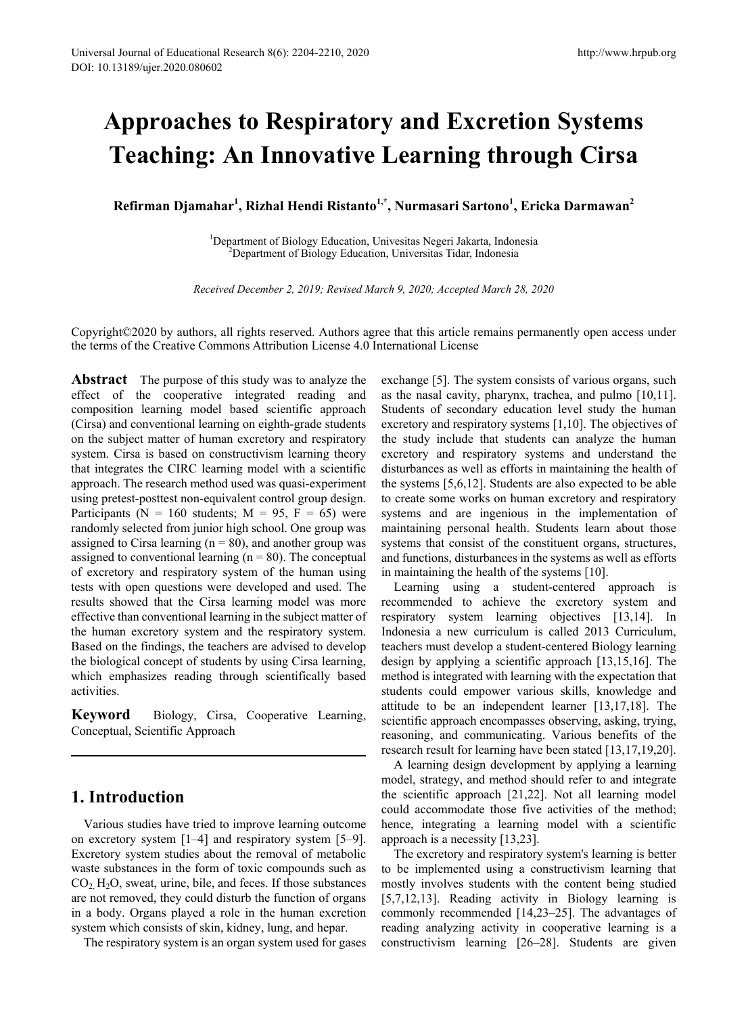# **Approaches to Respiratory and Excretion Systems Teaching: An Innovative Learning through Cirsa**

**Refirman Djamahar1 , Rizhal Hendi Ristanto1,\*, Nurmasari Sartono1 , Ericka Darmawan<sup>2</sup>**

<sup>1</sup>Department of Biology Education, Univesitas Negeri Jakarta, Indonesia<sup>2</sup><br><sup>2</sup>Department of Biology Education, Universitas Tidar, Indonesia <sup>2</sup>Department of Biology Education, Universitas Tidar, Indonesia

*Received December 2, 2019; Revised March 9, 2020; Accepted March 28, 2020*

Copyright©2020 by authors, all rights reserved. Authors agree that this article remains permanently open access under the terms of the Creative Commons Attribution License 4.0 International License

**Abstract** The purpose of this study was to analyze the effect of the cooperative integrated reading and composition learning model based scientific approach (Cirsa) and conventional learning on eighth-grade students on the subject matter of human excretory and respiratory system. Cirsa is based on constructivism learning theory that integrates the CIRC learning model with a scientific approach. The research method used was quasi-experiment using pretest-posttest non-equivalent control group design. Participants ( $N = 160$  students;  $M = 95$ ,  $F = 65$ ) were randomly selected from junior high school. One group was assigned to Cirsa learning  $(n = 80)$ , and another group was assigned to conventional learning  $(n = 80)$ . The conceptual of excretory and respiratory system of the human using tests with open questions were developed and used. The results showed that the Cirsa learning model was more effective than conventional learning in the subject matter of the human excretory system and the respiratory system. Based on the findings, the teachers are advised to develop the biological concept of students by using Cirsa learning, which emphasizes reading through scientifically based activities.

**Keyword** Biology, Cirsa, Cooperative Learning, Conceptual, Scientific Approach

# **1. Introduction**

Various studies have tried to improve learning outcome on excretory system [1–4] and respiratory system [5–9]. Excretory system studies about the removal of metabolic waste substances in the form of toxic compounds such as  $CO<sub>2</sub> H<sub>2</sub>O$ , sweat, urine, bile, and feces. If those substances are not removed, they could disturb the function of organs in a body. Organs played a role in the human excretion system which consists of skin, kidney, lung, and hepar.

The respiratory system is an organ system used for gases

exchange [5]. The system consists of various organs, such as the nasal cavity, pharynx, trachea, and pulmo [10,11]. Students of secondary education level study the human excretory and respiratory systems [1,10]. The objectives of the study include that students can analyze the human excretory and respiratory systems and understand the disturbances as well as efforts in maintaining the health of the systems [5,6,12]. Students are also expected to be able to create some works on human excretory and respiratory systems and are ingenious in the implementation of maintaining personal health. Students learn about those systems that consist of the constituent organs, structures, and functions, disturbances in the systems as well as efforts in maintaining the health of the systems [10].

Learning using a student-centered approach is recommended to achieve the excretory system and respiratory system learning objectives [13,14]. In Indonesia a new curriculum is called 2013 Curriculum, teachers must develop a student-centered Biology learning design by applying a scientific approach [13,15,16]. The method is integrated with learning with the expectation that students could empower various skills, knowledge and attitude to be an independent learner [13,17,18]. The scientific approach encompasses observing, asking, trying, reasoning, and communicating. Various benefits of the research result for learning have been stated [13,17,19,20].

A learning design development by applying a learning model, strategy, and method should refer to and integrate the scientific approach [21,22]. Not all learning model could accommodate those five activities of the method; hence, integrating a learning model with a scientific approach is a necessity [13,23].

The excretory and respiratory system's learning is better to be implemented using a constructivism learning that mostly involves students with the content being studied [5,7,12,13]. Reading activity in Biology learning is commonly recommended [14,23–25]. The advantages of reading analyzing activity in cooperative learning is a constructivism learning [26–28]. Students are given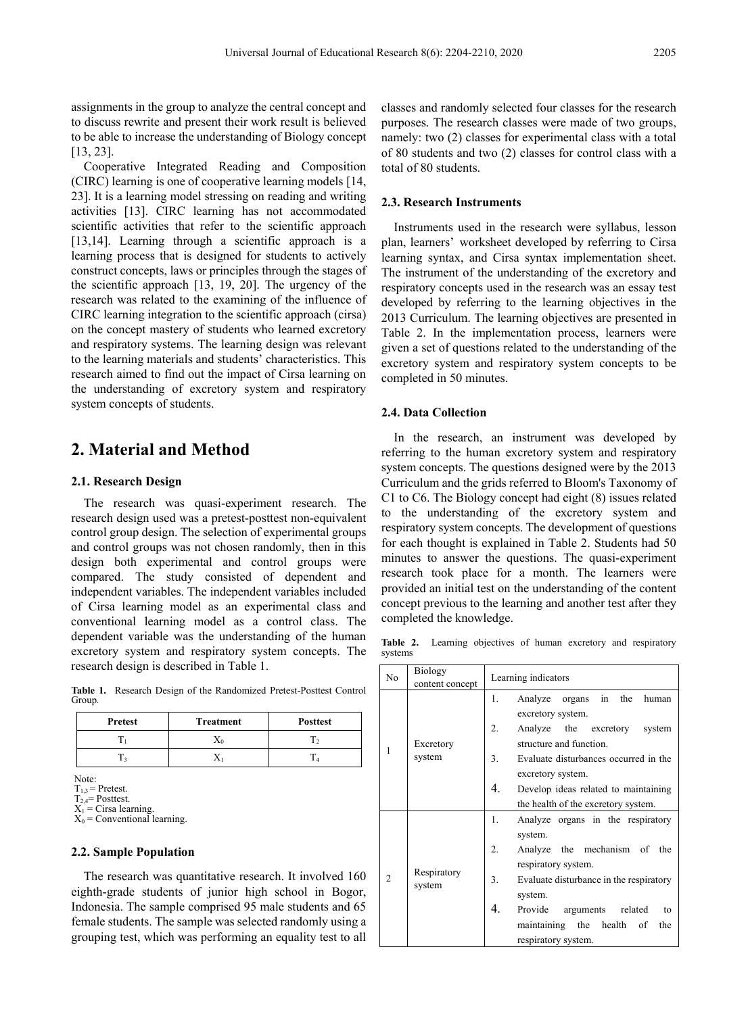assignments in the group to analyze the central concept and to discuss rewrite and present their work result is believed to be able to increase the understanding of Biology concept [13, 23].

Cooperative Integrated Reading and Composition (CIRC) learning is one of cooperative learning models [14, 23]. It is a learning model stressing on reading and writing activities [13]. CIRC learning has not accommodated scientific activities that refer to the scientific approach [13,14]. Learning through a scientific approach is a learning process that is designed for students to actively construct concepts, laws or principles through the stages of the scientific approach [13, 19, 20]. The urgency of the research was related to the examining of the influence of CIRC learning integration to the scientific approach (cirsa) on the concept mastery of students who learned excretory and respiratory systems. The learning design was relevant to the learning materials and students' characteristics. This research aimed to find out the impact of Cirsa learning on the understanding of excretory system and respiratory system concepts of students.

# **2. Material and Method**

#### **2.1. Research Design**

The research was quasi-experiment research. The research design used was a pretest-posttest non-equivalent control group design. The selection of experimental groups and control groups was not chosen randomly, then in this design both experimental and control groups were compared. The study consisted of dependent and independent variables. The independent variables included of Cirsa learning model as an experimental class and conventional learning model as a control class. The dependent variable was the understanding of the human excretory system and respiratory system concepts. The research design is described in Table 1.

**Table 1.** Research Design of the Randomized Pretest-Posttest Control Group*.*

| Pretest | Treatment | <b>Posttest</b> |  |
|---------|-----------|-----------------|--|
|         |           |                 |  |
|         |           |                 |  |

Note:

 $T_{1,3}$  = Pretest.  $T_{2,4}$ = Posttest.

 $X_1$  = Cirsa learning.<br> $X_0$  = Conventional learning.

#### **2.2. Sample Population**

The research was quantitative research. It involved 160 eighth-grade students of junior high school in Bogor, Indonesia. The sample comprised 95 male students and 65 female students. The sample was selected randomly using a grouping test, which was performing an equality test to all classes and randomly selected four classes for the research purposes. The research classes were made of two groups, namely: two (2) classes for experimental class with a total of 80 students and two (2) classes for control class with a total of 80 students.

#### **2.3. Research Instruments**

Instruments used in the research were syllabus, lesson plan, learners' worksheet developed by referring to Cirsa learning syntax, and Cirsa syntax implementation sheet. The instrument of the understanding of the excretory and respiratory concepts used in the research was an essay test developed by referring to the learning objectives in the 2013 Curriculum. The learning objectives are presented in Table 2. In the implementation process, learners were given a set of questions related to the understanding of the excretory system and respiratory system concepts to be completed in 50 minutes.

#### **2.4. Data Collection**

In the research, an instrument was developed by referring to the human excretory system and respiratory system concepts. The questions designed were by the 2013 Curriculum and the grids referred to Bloom's Taxonomy of C1 to C6. The Biology concept had eight (8) issues related to the understanding of the excretory system and respiratory system concepts. The development of questions for each thought is explained in Table 2. Students had 50 minutes to answer the questions. The quasi-experiment research took place for a month. The learners were provided an initial test on the understanding of the content concept previous to the learning and another test after they completed the knowledge.

**Table 2.** Learning objectives of human excretory and respiratory systems

| N <sub>0</sub> | <b>Biology</b><br>content concept | Learning indicators                                     |  |  |  |  |
|----------------|-----------------------------------|---------------------------------------------------------|--|--|--|--|
| 1              | Excretory<br>system               | the<br>1.<br>in<br>Analyze organs<br>human              |  |  |  |  |
|                |                                   | excretory system.                                       |  |  |  |  |
|                |                                   | 2.<br>Analyze the excretory system                      |  |  |  |  |
|                |                                   | structure and function.                                 |  |  |  |  |
|                |                                   | 3 <sub>1</sub><br>Evaluate disturbances occurred in the |  |  |  |  |
|                |                                   | excretory system.                                       |  |  |  |  |
|                |                                   | 4.<br>Develop ideas related to maintaining              |  |  |  |  |
|                |                                   | the health of the excretory system.                     |  |  |  |  |
| $\mathfrak{D}$ | Respiratory<br>system             | 1.<br>Analyze organs in the respiratory                 |  |  |  |  |
|                |                                   | system.                                                 |  |  |  |  |
|                |                                   | 2.<br>Analyze the mechanism of the                      |  |  |  |  |
|                |                                   | respiratory system.                                     |  |  |  |  |
|                |                                   | 3.<br>Evaluate disturbance in the respiratory           |  |  |  |  |
|                |                                   | system.                                                 |  |  |  |  |
|                |                                   | 4.<br>Provide<br>arguments related<br>to                |  |  |  |  |
|                |                                   | maintaining the<br>health<br>the<br>of                  |  |  |  |  |
|                |                                   | respiratory system.                                     |  |  |  |  |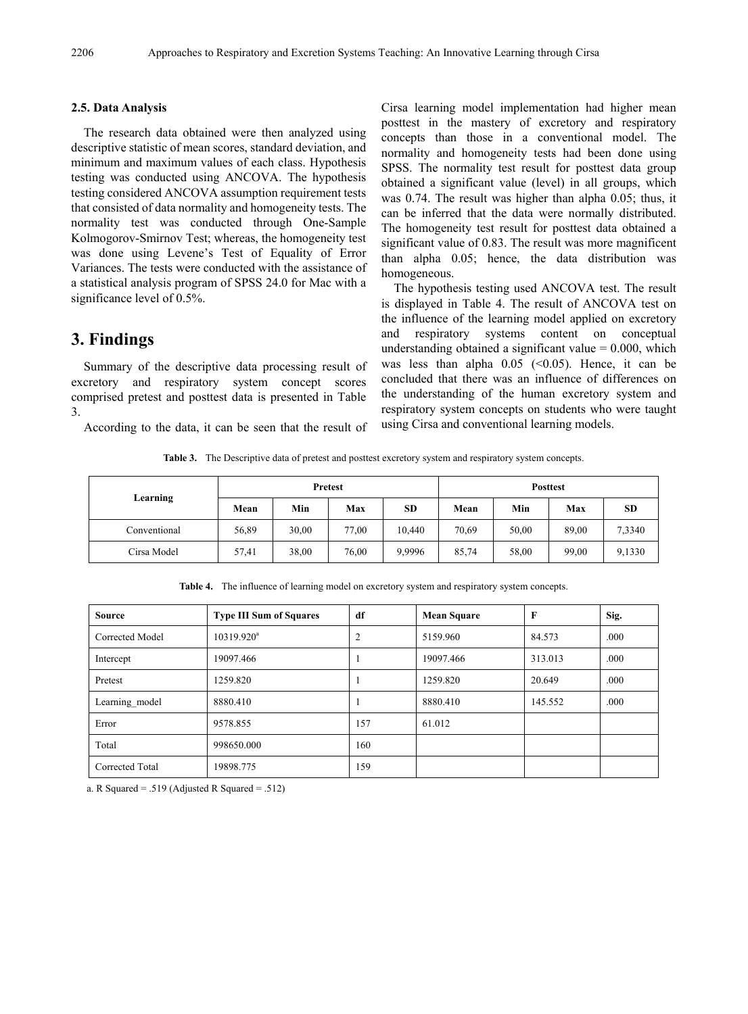#### **2.5. Data Analysis**

The research data obtained were then analyzed using descriptive statistic of mean scores, standard deviation, and minimum and maximum values of each class. Hypothesis testing was conducted using ANCOVA. The hypothesis testing considered ANCOVA assumption requirement tests that consisted of data normality and homogeneity tests. The normality test was conducted through One-Sample Kolmogorov-Smirnov Test; whereas, the homogeneity test was done using Levene's Test of Equality of Error Variances. The tests were conducted with the assistance of a statistical analysis program of SPSS 24.0 for Mac with a significance level of 0.5%.

## **3. Findings**

Summary of the descriptive data processing result of excretory and respiratory system concept scores comprised pretest and posttest data is presented in Table 3.

According to the data, it can be seen that the result of

Cirsa learning model implementation had higher mean posttest in the mastery of excretory and respiratory concepts than those in a conventional model. The normality and homogeneity tests had been done using SPSS. The normality test result for posttest data group obtained a significant value (level) in all groups, which was 0.74. The result was higher than alpha 0.05; thus, it can be inferred that the data were normally distributed. The homogeneity test result for posttest data obtained a significant value of 0.83. The result was more magnificent than alpha 0.05; hence, the data distribution was homogeneous.

The hypothesis testing used ANCOVA test. The result is displayed in Table 4. The result of ANCOVA test on the influence of the learning model applied on excretory and respiratory systems content on conceptual understanding obtained a significant value  $= 0.000$ , which was less than alpha  $0.05$  (<0.05). Hence, it can be concluded that there was an influence of differences on the understanding of the human excretory system and respiratory system concepts on students who were taught using Cirsa and conventional learning models.

**Table 3.** The Descriptive data of pretest and posttest excretory system and respiratory system concepts.

| Learning     | <b>Pretest</b> |       |       | <b>Posttest</b> |       |       |       |           |
|--------------|----------------|-------|-------|-----------------|-------|-------|-------|-----------|
|              | Mean           | Min   | Max   | <b>SD</b>       | Mean  | Min   | Max   | <b>SD</b> |
| Conventional | 56,89          | 30,00 | 77,00 | 10.440          | 70,69 | 50,00 | 89,00 | 7,3340    |
| Cirsa Model  | 57,41          | 38,00 | 76,00 | 9,9996          | 85,74 | 58,00 | 99,00 | 9,1330    |

**Table 4.** The influence of learning model on excretory system and respiratory system concepts.

| <b>Source</b>   | <b>Type III Sum of Squares</b> | df             | <b>Mean Square</b> | $\mathbf{F}$ | Sig. |
|-----------------|--------------------------------|----------------|--------------------|--------------|------|
| Corrected Model | $10319.920^a$                  | $\overline{2}$ | 5159.960           | 84.573       | .000 |
| Intercept       | 19097.466                      | -1             | 19097.466          | 313.013      | .000 |
| Pretest         | 1259.820                       | 1              | 1259.820           | 20.649       | .000 |
| Learning model  | 8880.410                       | -1             | 8880.410           | 145.552      | .000 |
| Error           | 9578.855                       | 157            | 61.012             |              |      |
| Total           | 998650.000                     | 160            |                    |              |      |
| Corrected Total | 19898.775                      | 159            |                    |              |      |

a. R Squared = .519 (Adjusted R Squared = .512)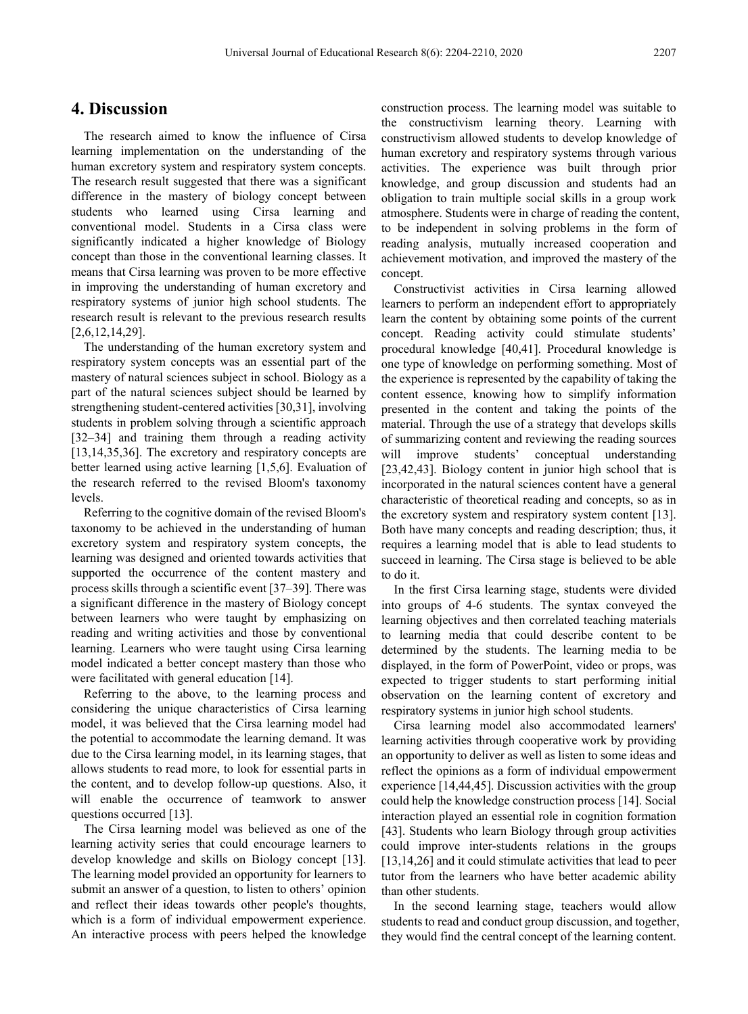## **4. Discussion**

The research aimed to know the influence of Cirsa learning implementation on the understanding of the human excretory system and respiratory system concepts. The research result suggested that there was a significant difference in the mastery of biology concept between students who learned using Cirsa learning and conventional model. Students in a Cirsa class were significantly indicated a higher knowledge of Biology concept than those in the conventional learning classes. It means that Cirsa learning was proven to be more effective in improving the understanding of human excretory and respiratory systems of junior high school students. The research result is relevant to the previous research results [2,6,12,14,29].

The understanding of the human excretory system and respiratory system concepts was an essential part of the mastery of natural sciences subject in school. Biology as a part of the natural sciences subject should be learned by strengthening student-centered activities [30,31], involving students in problem solving through a scientific approach [32–34] and training them through a reading activity [13,14,35,36]. The excretory and respiratory concepts are better learned using active learning [1,5,6]. Evaluation of the research referred to the revised Bloom's taxonomy levels.

Referring to the cognitive domain of the revised Bloom's taxonomy to be achieved in the understanding of human excretory system and respiratory system concepts, the learning was designed and oriented towards activities that supported the occurrence of the content mastery and process skills through a scientific event [37–39]. There was a significant difference in the mastery of Biology concept between learners who were taught by emphasizing on reading and writing activities and those by conventional learning. Learners who were taught using Cirsa learning model indicated a better concept mastery than those who were facilitated with general education [14].

Referring to the above, to the learning process and considering the unique characteristics of Cirsa learning model, it was believed that the Cirsa learning model had the potential to accommodate the learning demand. It was due to the Cirsa learning model, in its learning stages, that allows students to read more, to look for essential parts in the content, and to develop follow-up questions. Also, it will enable the occurrence of teamwork to answer questions occurred [13].

The Cirsa learning model was believed as one of the learning activity series that could encourage learners to develop knowledge and skills on Biology concept [13]. The learning model provided an opportunity for learners to submit an answer of a question, to listen to others' opinion and reflect their ideas towards other people's thoughts, which is a form of individual empowerment experience. An interactive process with peers helped the knowledge construction process. The learning model was suitable to the constructivism learning theory. Learning with constructivism allowed students to develop knowledge of human excretory and respiratory systems through various activities. The experience was built through prior knowledge, and group discussion and students had an obligation to train multiple social skills in a group work atmosphere. Students were in charge of reading the content, to be independent in solving problems in the form of reading analysis, mutually increased cooperation and achievement motivation, and improved the mastery of the concept.

Constructivist activities in Cirsa learning allowed learners to perform an independent effort to appropriately learn the content by obtaining some points of the current concept. Reading activity could stimulate students' procedural knowledge [40,41]. Procedural knowledge is one type of knowledge on performing something. Most of the experience is represented by the capability of taking the content essence, knowing how to simplify information presented in the content and taking the points of the material. Through the use of a strategy that develops skills of summarizing content and reviewing the reading sources will improve students' conceptual understanding [23,42,43]. Biology content in junior high school that is incorporated in the natural sciences content have a general characteristic of theoretical reading and concepts, so as in the excretory system and respiratory system content [13]. Both have many concepts and reading description; thus, it requires a learning model that is able to lead students to succeed in learning. The Cirsa stage is believed to be able to do it.

In the first Cirsa learning stage, students were divided into groups of 4-6 students. The syntax conveyed the learning objectives and then correlated teaching materials to learning media that could describe content to be determined by the students. The learning media to be displayed, in the form of PowerPoint, video or props, was expected to trigger students to start performing initial observation on the learning content of excretory and respiratory systems in junior high school students.

Cirsa learning model also accommodated learners' learning activities through cooperative work by providing an opportunity to deliver as well as listen to some ideas and reflect the opinions as a form of individual empowerment experience [14,44,45]. Discussion activities with the group could help the knowledge construction process [14]. Social interaction played an essential role in cognition formation [43]. Students who learn Biology through group activities could improve inter-students relations in the groups [13,14,26] and it could stimulate activities that lead to peer tutor from the learners who have better academic ability than other students.

In the second learning stage, teachers would allow students to read and conduct group discussion, and together, they would find the central concept of the learning content.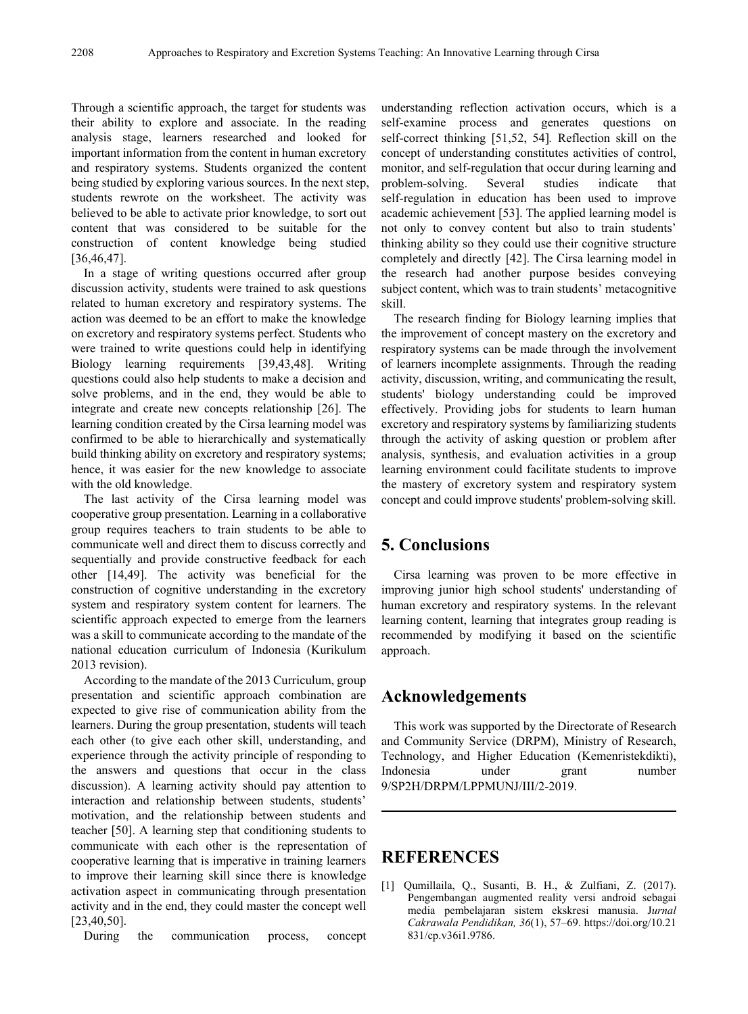Through a scientific approach, the target for students was their ability to explore and associate. In the reading analysis stage, learners researched and looked for important information from the content in human excretory and respiratory systems. Students organized the content being studied by exploring various sources. In the next step, students rewrote on the worksheet. The activity was believed to be able to activate prior knowledge, to sort out content that was considered to be suitable for the construction of content knowledge being studied [36,46,47].

In a stage of writing questions occurred after group discussion activity, students were trained to ask questions related to human excretory and respiratory systems. The action was deemed to be an effort to make the knowledge on excretory and respiratory systems perfect. Students who were trained to write questions could help in identifying Biology learning requirements [39,43,48]. Writing questions could also help students to make a decision and solve problems, and in the end, they would be able to integrate and create new concepts relationship [26]. The learning condition created by the Cirsa learning model was confirmed to be able to hierarchically and systematically build thinking ability on excretory and respiratory systems; hence, it was easier for the new knowledge to associate with the old knowledge.

The last activity of the Cirsa learning model was cooperative group presentation. Learning in a collaborative group requires teachers to train students to be able to communicate well and direct them to discuss correctly and sequentially and provide constructive feedback for each other [14,49]. The activity was beneficial for the construction of cognitive understanding in the excretory system and respiratory system content for learners. The scientific approach expected to emerge from the learners was a skill to communicate according to the mandate of the national education curriculum of Indonesia (Kurikulum 2013 revision).

According to the mandate of the 2013 Curriculum, group presentation and scientific approach combination are expected to give rise of communication ability from the learners. During the group presentation, students will teach each other (to give each other skill, understanding, and experience through the activity principle of responding to the answers and questions that occur in the class discussion). A learning activity should pay attention to interaction and relationship between students, students' motivation, and the relationship between students and teacher [50]. A learning step that conditioning students to communicate with each other is the representation of cooperative learning that is imperative in training learners to improve their learning skill since there is knowledge activation aspect in communicating through presentation activity and in the end, they could master the concept well [23,40,50].

During the communication process, concept

understanding reflection activation occurs, which is a self-examine process and generates questions on self-correct thinking [51,52, 54]*.* Reflection skill on the concept of understanding constitutes activities of control, monitor, and self-regulation that occur during learning and problem-solving. Several studies indicate that self-regulation in education has been used to improve academic achievement [53]. The applied learning model is not only to convey content but also to train students' thinking ability so they could use their cognitive structure completely and directly [42]. The Cirsa learning model in the research had another purpose besides conveying subject content, which was to train students' metacognitive skill.

The research finding for Biology learning implies that the improvement of concept mastery on the excretory and respiratory systems can be made through the involvement of learners incomplete assignments. Through the reading activity, discussion, writing, and communicating the result, students' biology understanding could be improved effectively. Providing jobs for students to learn human excretory and respiratory systems by familiarizing students through the activity of asking question or problem after analysis, synthesis, and evaluation activities in a group learning environment could facilitate students to improve the mastery of excretory system and respiratory system concept and could improve students' problem-solving skill.

# **5. Conclusions**

Cirsa learning was proven to be more effective in improving junior high school students' understanding of human excretory and respiratory systems. In the relevant learning content, learning that integrates group reading is recommended by modifying it based on the scientific approach.

### **Acknowledgements**

This work was supported by the Directorate of Research and Community Service (DRPM), Ministry of Research, Technology, and Higher Education (Kemenristekdikti), Indonesia under grant number 9/SP2H/DRPM/LPPMUNJ/III/2-2019.

## **REFERENCES**

[1] Qumillaila, Q., Susanti, B. H., & Zulfiani, Z. (2017). Pengembangan augmented reality versi android sebagai media pembelajaran sistem ekskresi manusia. J*urnal Cakrawala Pendidikan, 36*(1), 57–69. https://doi.org/10.21 831/cp.v36i1.9786.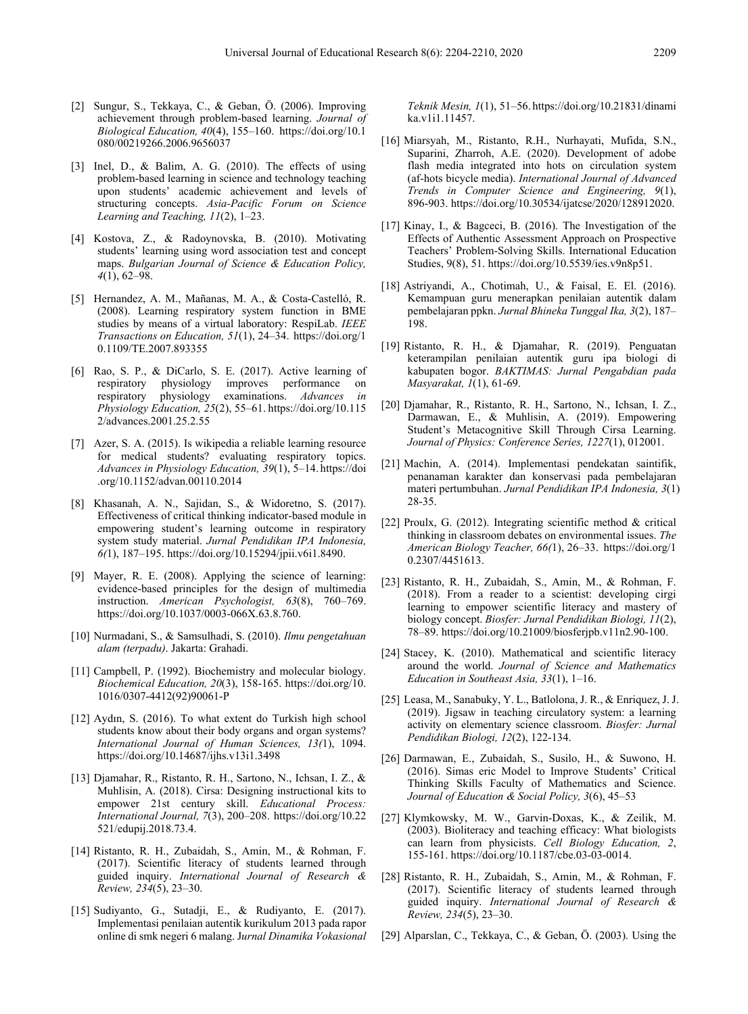- [2] Sungur, S., Tekkaya, C., & Geban, Ö. (2006). Improving achievement through problem-based learning. *Journal of Biological Education, 40*(4), 155–160. https://doi.org/10.1 080/00219266.2006.9656037
- [3] Inel, D., & Balim, A. G. (2010). The effects of using problem-based learning in science and technology teaching upon students' academic achievement and levels of structuring concepts. *Asia-Pacific Forum on Science Learning and Teaching, 11*(2), 1–23.
- [4] Kostova, Z., & Radoynovska, B. (2010). Motivating students' learning using word association test and concept maps. *Bulgarian Journal of Science & Education Policy, 4*(1), 62–98.
- [5] Hernandez, A. M., Mañanas, M. A., & Costa-Castelló, R. (2008). Learning respiratory system function in BME studies by means of a virtual laboratory: RespiLab. *IEEE Transactions on Education, 51*(1), 24–34. https://doi.org/1 0.1109/TE.2007.893355
- [6] Rao, S. P., & DiCarlo, S. E. (2017). Active learning of respiratory physiology improves performance on<br>respiratory physiology examinations Advances in physiology examinations. *Advances in Physiology Education, 25*(2), 55–61. https://doi.org/10.115 2/advances.2001.25.2.55
- [7] Azer, S. A. (2015). Is wikipedia a reliable learning resource for medical students? evaluating respiratory topics. *Advances in Physiology Education, 39*(1), 5–14. https://doi .org/10.1152/advan.00110.2014
- [8] Khasanah, A. N., Sajidan, S., & Widoretno, S. (2017). Effectiveness of critical thinking indicator-based module in empowering student's learning outcome in respiratory system study material. *Jurnal Pendidikan IPA Indonesia, 6(*1), 187–195. https://doi.org/10.15294/jpii.v6i1.8490.
- [9] Mayer, R. E. (2008). Applying the science of learning: evidence-based principles for the design of multimedia instruction. *American Psychologist, 63*(8), 760–769. https://doi.org/10.1037/0003-066X.63.8.760.
- [10] Nurmadani, S., & Samsulhadi, S. (2010). *Ilmu pengetahuan alam (terpadu)*. Jakarta: Grahadi.
- [11] Campbell, P. (1992). Biochemistry and molecular biology. *Biochemical Education, 20*(3), 158-165. https://doi.org/10. 1016/0307-4412(92)90061-P
- [12] Aydın, S. (2016). To what extent do Turkish high school students know about their body organs and organ systems? *International Journal of Human Sciences, 13(*1), 1094. https://doi.org/10.14687/ijhs.v13i1.3498
- [13] Djamahar, R., Ristanto, R. H., Sartono, N., Ichsan, I. Z., & Muhlisin, A. (2018). Cirsa: Designing instructional kits to empower 21st century skill. *Educational Process: International Journal, 7*(3), 200–208. https://doi.org/10.22 521/edupij.2018.73.4.
- [14] Ristanto, R. H., Zubaidah, S., Amin, M., & Rohman, F. (2017). Scientific literacy of students learned through guided inquiry. *International Journal of Research & Review, 234*(5), 23–30.
- [15] Sudiyanto, G., Sutadji, E., & Rudiyanto, E. (2017). Implementasi penilaian autentik kurikulum 2013 pada rapor online di smk negeri 6 malang. J*urnal Dinamika Vokasional*

*Teknik Mesin, 1*(1), 51–56. https://doi.org/10.21831/dinami ka.v1i1.11457.

- [16] Miarsyah, M., Ristanto, R.H., Nurhayati, Mufida, S.N., Suparini, Zharroh, A.E. (2020). Development of adobe flash media integrated into hots on circulation system (af-hots bicycle media). *International Journal of Advanced Trends in Computer Science and Engineering, 9*(1), 896-903. https://doi.org/10.30534/ijatcse/2020/128912020.
- [17] Kinay, I., & Bagceci, B. (2016). The Investigation of the Effects of Authentic Assessment Approach on Prospective Teachers' Problem-Solving Skills. International Education Studies, 9(8), 51. https://doi.org/10.5539/ies.v9n8p51.
- [18] Astriyandi, A., Chotimah, U., & Faisal, E. El. (2016). Kemampuan guru menerapkan penilaian autentik dalam pembelajaran ppkn. *Jurnal Bhineka Tunggal Ika, 3*(2), 187– 198.
- [19] Ristanto, R. H., & Djamahar, R. (2019). Penguatan keterampilan penilaian autentik guru ipa biologi di kabupaten bogor. *BAKTIMAS: Jurnal Pengabdian pada Masyarakat, 1*(1), 61-69.
- [20] Djamahar, R., Ristanto, R. H., Sartono, N., Ichsan, I. Z., Darmawan, E., & Muhlisin, A. (2019). Empowering Student's Metacognitive Skill Through Cirsa Learning. *Journal of Physics: Conference Series, 1227*(1), 012001.
- [21] Machin, A. (2014). Implementasi pendekatan saintifik, penanaman karakter dan konservasi pada pembelajaran materi pertumbuhan. *Jurnal Pendidikan IPA Indonesia, 3*(1) 28-35.
- [22] Proulx, G. (2012). Integrating scientific method & critical thinking in classroom debates on environmental issues. *The American Biology Teacher, 66(*1), 26–33. https://doi.org/1 0.2307/4451613.
- [23] Ristanto, R. H., Zubaidah, S., Amin, M., & Rohman, F. (2018). From a reader to a scientist: developing cirgi learning to empower scientific literacy and mastery of biology concept. *Biosfer: Jurnal Pendidikan Biologi, 11*(2), 78–89. https://doi.org/10.21009/biosferjpb.v11n2.90-100.
- [24] Stacey, K. (2010). Mathematical and scientific literacy around the world. *Journal of Science and Mathematics Education in Southeast Asia, 33*(1), 1–16.
- [25] Leasa, M., Sanabuky, Y. L., Batlolona, J. R., & Enriquez, J. J. (2019). Jigsaw in teaching circulatory system: a learning activity on elementary science classroom. *Biosfer: Jurnal Pendidikan Biologi, 12*(2), 122-134.
- [26] Darmawan, E., Zubaidah, S., Susilo, H., & Suwono, H. (2016). Simas eric Model to Improve Students' Critical Thinking Skills Faculty of Mathematics and Science. *Journal of Education & Social Policy, 3*(6), 45–53
- [27] Klymkowsky, M. W., Garvin-Doxas, K., & Zeilik, M. (2003). Bioliteracy and teaching efficacy: What biologists can learn from physicists. *Cell Biology Education, 2*, 155-161. https://doi.org/10.1187/cbe.03-03-0014.
- [28] Ristanto, R. H., Zubaidah, S., Amin, M., & Rohman, F. (2017). Scientific literacy of students learned through guided inquiry. *International Journal of Research & Review, 234*(5), 23–30.
- [29] Alparslan, C., Tekkaya, C., & Geban, Ö. (2003). Using the